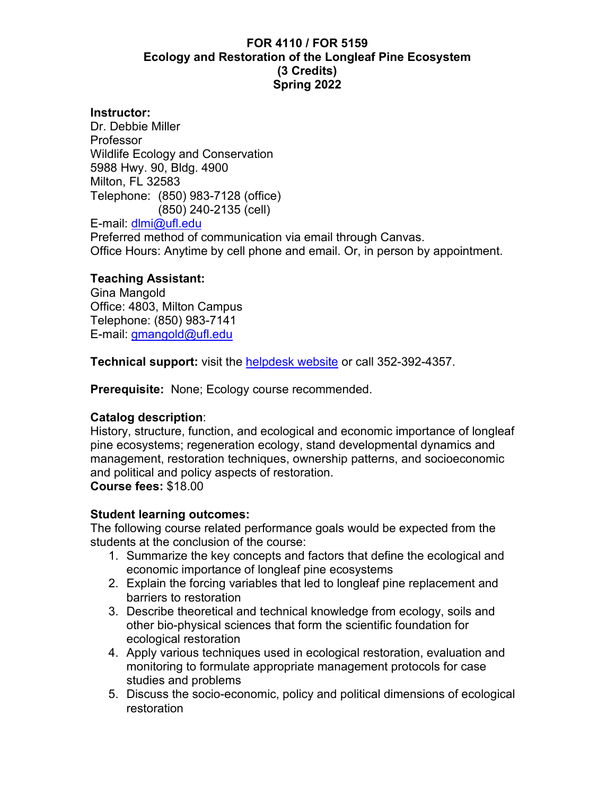## **FOR 4110 / FOR 5159 Ecology and Restoration of the Longleaf Pine Ecosystem (3 Credits) Spring 2022**

#### **Instructor:**

Dr. Debbie Miller Professor Wildlife Ecology and Conservation 5988 Hwy. 90, Bldg. 4900 Milton, FL 32583 Telephone: (850) 983-7128 (office) (850) 240-2135 (cell) E-mail: [dlmi@ufl.edu](mailto:dlmi@ufl.edu) Preferred method of communication via email through Canvas. Office Hours: Anytime by cell phone and email. Or, in person by appointment.

## **Teaching Assistant:**

Gina Mangold Office: 4803, Milton Campus Telephone: (850) 983-7141 E-mail: gmangold@ufl.edu

**Technical support:** visit the [helpdesk website](https://helpdesk.ufl.edu/) or call 352-392-4357.

**Prerequisite:** None; Ecology course recommended.

#### **Catalog description**:

History, structure, function, and ecological and economic importance of longleaf pine ecosystems; regeneration ecology, stand developmental dynamics and management, restoration techniques, ownership patterns, and socioeconomic and political and policy aspects of restoration.

**Course fees:** \$18.00

#### **Student learning outcomes:**

The following course related performance goals would be expected from the students at the conclusion of the course:

- 1. Summarize the key concepts and factors that define the ecological and economic importance of longleaf pine ecosystems
- 2. Explain the forcing variables that led to longleaf pine replacement and barriers to restoration
- 3. Describe theoretical and technical knowledge from ecology, soils and other bio-physical sciences that form the scientific foundation for ecological restoration
- 4. Apply various techniques used in ecological restoration, evaluation and monitoring to formulate appropriate management protocols for case studies and problems
- 5. Discuss the socio-economic, policy and political dimensions of ecological restoration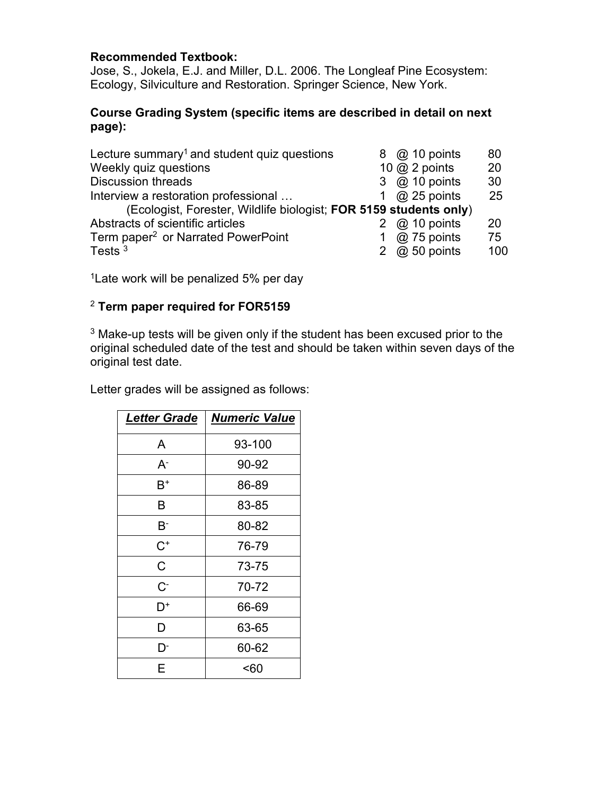## **Recommended Textbook:**

Jose, S., Jokela, E.J. and Miller, D.L. 2006. The Longleaf Pine Ecosystem: Ecology, Silviculture and Restoration. Springer Science, New York.

## **Course Grading System (specific items are described in detail on next page):**

| Lecture summary <sup>1</sup> and student quiz questions           |   | 8 @ 10 points      | 80  |  |
|-------------------------------------------------------------------|---|--------------------|-----|--|
| Weekly quiz questions                                             |   | 10 $@$ 2 points    | 20  |  |
| <b>Discussion threads</b>                                         | 3 | $\omega$ 10 points | 30  |  |
| Interview a restoration professional                              |   | $@$ 25 points      | 25  |  |
| (Ecologist, Forester, Wildlife biologist; FOR 5159 students only) |   |                    |     |  |
| Abstracts of scientific articles                                  |   | $@$ 10 points      | 20  |  |
| Term paper <sup>2</sup> or Narrated PowerPoint                    |   | $@$ 75 points      | 75  |  |
| Tests $3$                                                         | 2 | $@$ 50 points      | 100 |  |

<sup>1</sup> Late work will be penalized 5% per day

# <sup>2</sup> **Term paper required for FOR5159**

<sup>3</sup> Make-up tests will be given only if the student has been excused prior to the original scheduled date of the test and should be taken within seven days of the original test date.

Letter grades will be assigned as follows:

| <b>Letter Grade</b> | <b>Numeric Value</b> |  |
|---------------------|----------------------|--|
| A                   | 93-100               |  |
| A-                  | 90-92                |  |
| B+                  | 86-89                |  |
| в                   | 83-85                |  |
| B-                  | 80-82                |  |
| $\mathrm{C}^*$      | 76-79                |  |
| C                   | 73-75                |  |
| C-                  | 70-72                |  |
| D+                  | 66-69                |  |
| D                   | 63-65                |  |
| D                   | 60-62                |  |
| Е                   | <60                  |  |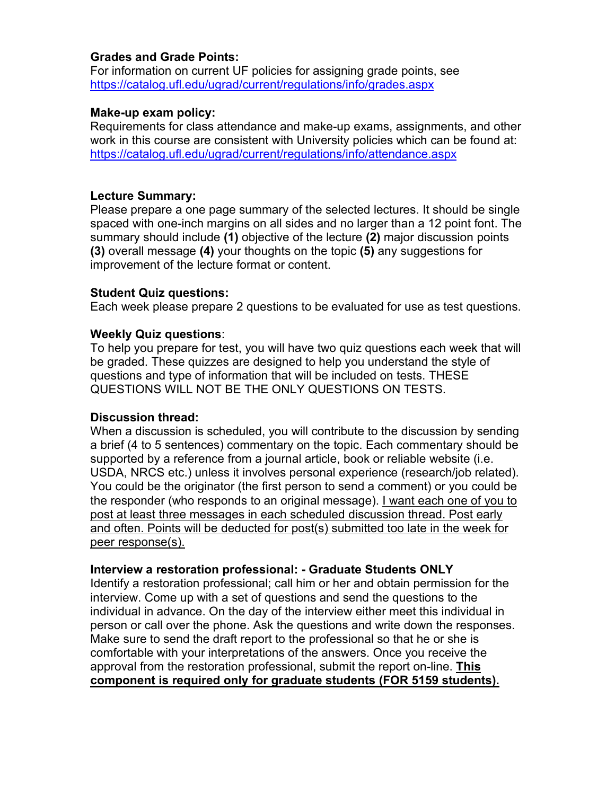#### **Grades and Grade Points:**

For information on current UF policies for assigning grade points, see <https://catalog.ufl.edu/ugrad/current/regulations/info/grades.aspx>

## **Make-up exam policy:**

Requirements for class attendance and make-up exams, assignments, and other work in this course are consistent with University policies which can be found at: <https://catalog.ufl.edu/ugrad/current/regulations/info/attendance.aspx>

## **Lecture Summary:**

Please prepare a one page summary of the selected lectures. It should be single spaced with one-inch margins on all sides and no larger than a 12 point font. The summary should include **(1)** objective of the lecture **(2)** major discussion points **(3)** overall message **(4)** your thoughts on the topic **(5)** any suggestions for improvement of the lecture format or content.

## **Student Quiz questions:**

Each week please prepare 2 questions to be evaluated for use as test questions.

## **Weekly Quiz questions**:

To help you prepare for test, you will have two quiz questions each week that will be graded. These quizzes are designed to help you understand the style of questions and type of information that will be included on tests. THESE QUESTIONS WILL NOT BE THE ONLY QUESTIONS ON TESTS.

#### **Discussion thread:**

When a discussion is scheduled, you will contribute to the discussion by sending a brief (4 to 5 sentences) commentary on the topic. Each commentary should be supported by a reference from a journal article, book or reliable website (i.e. USDA, NRCS etc.) unless it involves personal experience (research/job related). You could be the originator (the first person to send a comment) or you could be the responder (who responds to an original message). I want each one of you to post at least three messages in each scheduled discussion thread. Post early and often. Points will be deducted for post(s) submitted too late in the week for peer response(s).

#### **Interview a restoration professional: - Graduate Students ONLY**

Identify a restoration professional; call him or her and obtain permission for the interview. Come up with a set of questions and send the questions to the individual in advance. On the day of the interview either meet this individual in person or call over the phone. Ask the questions and write down the responses. Make sure to send the draft report to the professional so that he or she is comfortable with your interpretations of the answers. Once you receive the approval from the restoration professional, submit the report on-line. **This component is required only for graduate students (FOR 5159 students).**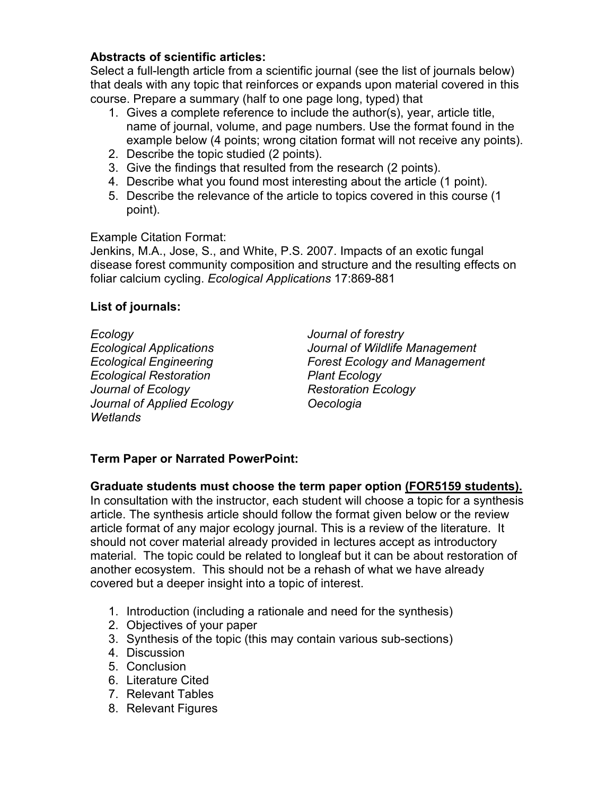## **Abstracts of scientific articles:**

Select a full-length article from a scientific journal (see the list of journals below) that deals with any topic that reinforces or expands upon material covered in this course. Prepare a summary (half to one page long, typed) that

- 1. Gives a complete reference to include the author(s), year, article title, name of journal, volume, and page numbers. Use the format found in the example below (4 points; wrong citation format will not receive any points).
- 2. Describe the topic studied (2 points).
- 3. Give the findings that resulted from the research (2 points).
- 4. Describe what you found most interesting about the article (1 point).
- 5. Describe the relevance of the article to topics covered in this course (1 point).

Example Citation Format:

Jenkins, M.A., Jose, S., and White, P.S. 2007. Impacts of an exotic fungal disease forest community composition and structure and the resulting effects on foliar calcium cycling. *Ecological Applications* 17:869-881

# **List of journals:**

*Ecology Journal of forestry Ecological Restoration Plant Ecology Journal of Ecology Restoration Ecology Journal of Applied Ecology Oecologia Wetlands*

*Ecological Applications Journal of Wildlife Management Ecological Engineering Forest Ecology and Management*

# **Term Paper or Narrated PowerPoint:**

**Graduate students must choose the term paper option (FOR5159 students).**

In consultation with the instructor, each student will choose a topic for a synthesis article. The synthesis article should follow the format given below or the review article format of any major ecology journal. This is a review of the literature. It should not cover material already provided in lectures accept as introductory material. The topic could be related to longleaf but it can be about restoration of another ecosystem. This should not be a rehash of what we have already covered but a deeper insight into a topic of interest.

- 1. Introduction (including a rationale and need for the synthesis)
- 2. Objectives of your paper
- 3. Synthesis of the topic (this may contain various sub-sections)
- 4. Discussion
- 5. Conclusion
- 6. Literature Cited
- 7. Relevant Tables
- 8. Relevant Figures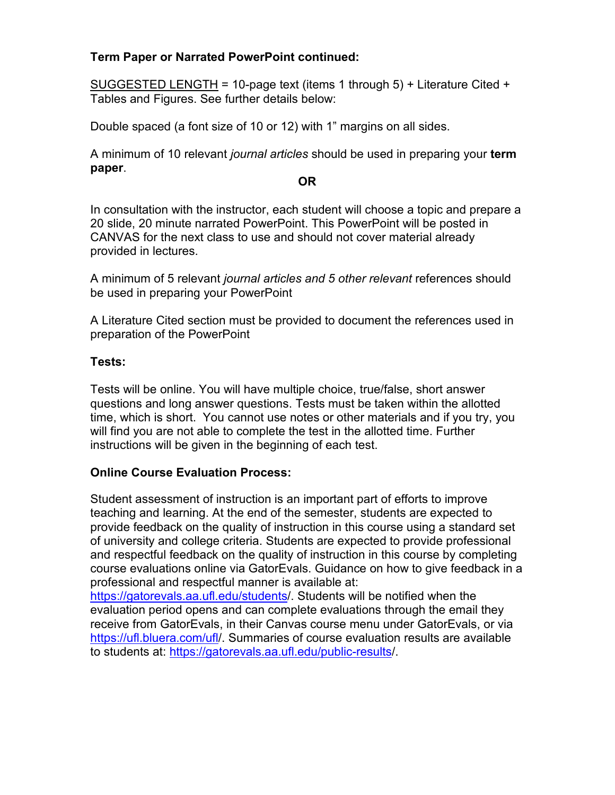## **Term Paper or Narrated PowerPoint continued:**

SUGGESTED LENGTH = 10-page text (items 1 through 5) + Literature Cited + Tables and Figures. See further details below:

Double spaced (a font size of 10 or 12) with 1" margins on all sides.

A minimum of 10 relevant *journal articles* should be used in preparing your **term paper**.

#### **OR**

In consultation with the instructor, each student will choose a topic and prepare a 20 slide, 20 minute narrated PowerPoint. This PowerPoint will be posted in CANVAS for the next class to use and should not cover material already provided in lectures.

A minimum of 5 relevant *journal articles and 5 other relevant* references should be used in preparing your PowerPoint

A Literature Cited section must be provided to document the references used in preparation of the PowerPoint

#### **Tests:**

Tests will be online. You will have multiple choice, true/false, short answer questions and long answer questions. Tests must be taken within the allotted time, which is short. You cannot use notes or other materials and if you try, you will find you are not able to complete the test in the allotted time. Further instructions will be given in the beginning of each test.

# **Online Course Evaluation Process:**

Student assessment of instruction is an important part of efforts to improve teaching and learning. At the end of the semester, students are expected to provide feedback on the quality of instruction in this course using a standard set of university and college criteria. Students are expected to provide professional and respectful feedback on the quality of instruction in this course by completing course evaluations online via GatorEvals. Guidance on how to give feedback in a professional and respectful manner is available at: [https://gatorevals.aa.ufl.edu/students/](https://gatorevals.aa.ufl.edu/students). Students will be notified when the evaluation period opens and can complete evaluations through the email they

receive from GatorEvals, in their Canvas course menu under GatorEvals, or via [https://ufl.bluera.com/ufl/](https://ufl.bluera.com/ufl). Summaries of course evaluation results are available to students at: [https://gatorevals.aa.ufl.edu/public-results/](https://gatorevals.aa.ufl.edu/public-results).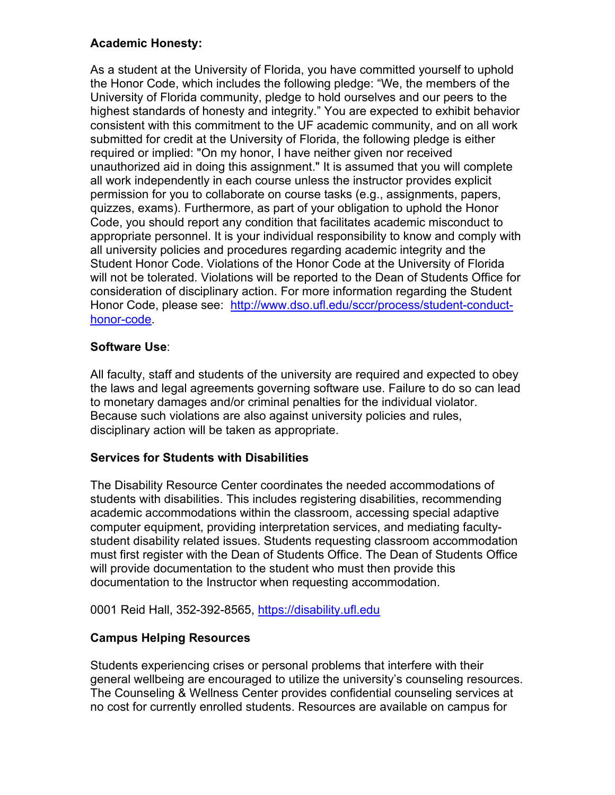# **Academic Honesty:**

As a student at the University of Florida, you have committed yourself to uphold the Honor Code, which includes the following pledge: "We, the members of the University of Florida community, pledge to hold ourselves and our peers to the highest standards of honesty and integrity." You are expected to exhibit behavior consistent with this commitment to the UF academic community, and on all work submitted for credit at the University of Florida, the following pledge is either required or implied: "On my honor, I have neither given nor received unauthorized aid in doing this assignment." It is assumed that you will complete all work independently in each course unless the instructor provides explicit permission for you to collaborate on course tasks (e.g., assignments, papers, quizzes, exams). Furthermore, as part of your obligation to uphold the Honor Code, you should report any condition that facilitates academic misconduct to appropriate personnel. It is your individual responsibility to know and comply with all university policies and procedures regarding academic integrity and the Student Honor Code. Violations of the Honor Code at the University of Florida will not be tolerated. Violations will be reported to the Dean of Students Office for consideration of disciplinary action. For more information regarding the Student Honor Code, please see: [http://www.dso.ufl.edu/sccr/process/student-conduct](http://www.dso.ufl.edu/sccr/process/student-conduct-honor-code)[honor-code.](http://www.dso.ufl.edu/sccr/process/student-conduct-honor-code)

# **Software Use**:

All faculty, staff and students of the university are required and expected to obey the laws and legal agreements governing software use. Failure to do so can lead to monetary damages and/or criminal penalties for the individual violator. Because such violations are also against university policies and rules, disciplinary action will be taken as appropriate.

# **Services for Students with Disabilities**

The Disability Resource Center coordinates the needed accommodations of students with disabilities. This includes registering disabilities, recommending academic accommodations within the classroom, accessing special adaptive computer equipment, providing interpretation services, and mediating facultystudent disability related issues. Students requesting classroom accommodation must first register with the Dean of Students Office. The Dean of Students Office will provide documentation to the student who must then provide this documentation to the Instructor when requesting accommodation.

0001 Reid Hall, 352-392-8565, [https://disability.ufl.edu](https://disability.ufl.edu/)

# **Campus Helping Resources**

Students experiencing crises or personal problems that interfere with their general wellbeing are encouraged to utilize the university's counseling resources. The Counseling & Wellness Center provides confidential counseling services at no cost for currently enrolled students. Resources are available on campus for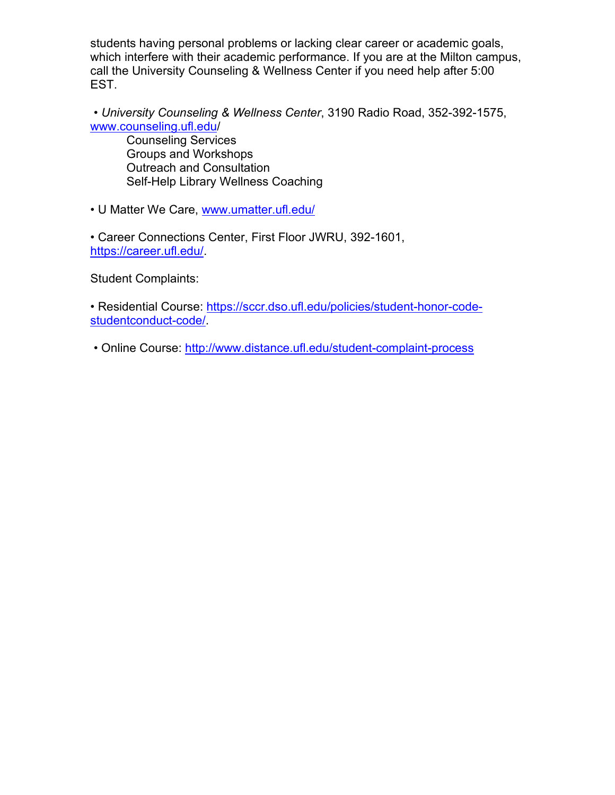students having personal problems or lacking clear career or academic goals, which interfere with their academic performance. If you are at the Milton campus, call the University Counseling & Wellness Center if you need help after 5:00 EST.

• *University Counseling & Wellness Center*, 3190 Radio Road, 352-392-1575, [www.counseling.ufl.edu/](http://www.counseling.ufl.edu/)

Counseling Services Groups and Workshops Outreach and Consultation Self-Help Library Wellness Coaching

• U Matter We Care, [www.umatter.ufl.edu/](http://www.umatter.ufl.edu/)

• Career Connections Center, First Floor JWRU, 392-1601, [https://career.ufl.edu/.](https://career.ufl.edu/)

Student Complaints:

• Residential Course: [https://sccr.dso.ufl.edu/policies/student-honor-code](https://sccr.dso.ufl.edu/policies/student-honor-code-studentconduct-code/)[studentconduct-code/.](https://sccr.dso.ufl.edu/policies/student-honor-code-studentconduct-code/)

• Online Course:<http://www.distance.ufl.edu/student-complaint-process>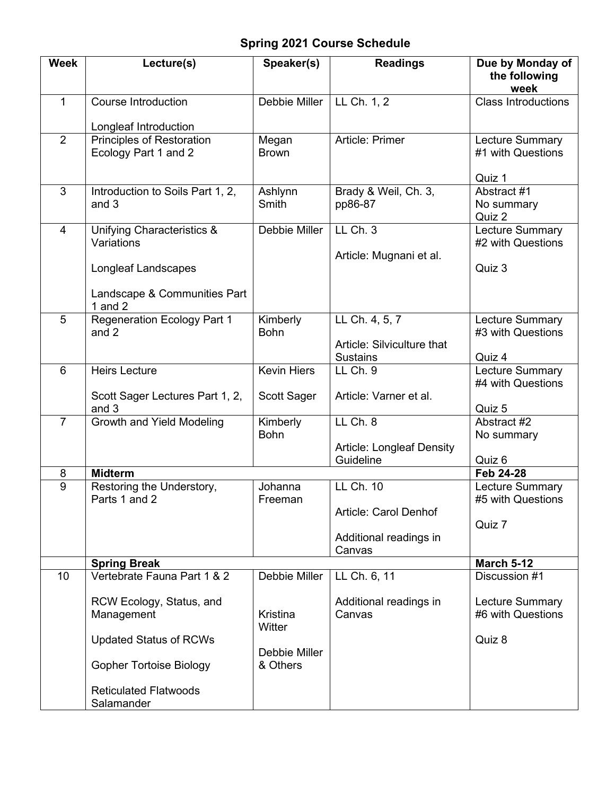# **Spring 2021 Course Schedule**

| <b>Week</b>    | Lecture(s)                                                      | Speaker(s)              | <b>Readings</b>                                                 | Due by Monday of<br>the following<br>week             |
|----------------|-----------------------------------------------------------------|-------------------------|-----------------------------------------------------------------|-------------------------------------------------------|
| $\mathbf{1}$   | Course Introduction                                             | Debbie Miller           | LL Ch. 1, 2                                                     | <b>Class Introductions</b>                            |
|                | Longleaf Introduction                                           |                         |                                                                 |                                                       |
| $\overline{2}$ | <b>Principles of Restoration</b><br>Ecology Part 1 and 2        | Megan<br><b>Brown</b>   | Article: Primer                                                 | <b>Lecture Summary</b><br>#1 with Questions<br>Quiz 1 |
| 3              | Introduction to Soils Part 1, 2,<br>and 3                       | Ashlynn<br>Smith        | Brady & Weil, Ch. 3,<br>pp86-87                                 | Abstract #1<br>No summary<br>Quiz 2                   |
| $\overline{4}$ | Unifying Characteristics &<br>Variations<br>Longleaf Landscapes | Debbie Miller           | LL Ch. 3<br>Article: Mugnani et al.                             | <b>Lecture Summary</b><br>#2 with Questions<br>Quiz 3 |
|                | Landscape & Communities Part<br>1 and $2$                       |                         |                                                                 |                                                       |
| 5              | <b>Regeneration Ecology Part 1</b><br>and 2                     | Kimberly<br><b>Bohn</b> | LL Ch. 4, 5, 7<br>Article: Silviculture that<br><b>Sustains</b> | <b>Lecture Summary</b><br>#3 with Questions<br>Quiz 4 |
| 6              | <b>Heirs Lecture</b>                                            | <b>Kevin Hiers</b>      | LL Ch. 9                                                        | <b>Lecture Summary</b><br>#4 with Questions           |
|                | Scott Sager Lectures Part 1, 2,<br>and 3                        | Scott Sager             | Article: Varner et al.                                          | Quiz 5                                                |
| $\overline{7}$ | Growth and Yield Modeling                                       | Kimberly<br><b>Bohn</b> | LL Ch. 8<br><b>Article: Longleaf Density</b>                    | Abstract #2<br>No summary                             |
|                |                                                                 |                         | Guideline                                                       | Quiz 6                                                |
| 8              | <b>Midterm</b>                                                  |                         |                                                                 | Feb 24-28                                             |
| 9              | Restoring the Understory,<br>Parts 1 and 2                      | Johanna<br>Freeman      | LL Ch. 10                                                       | <b>Lecture Summary</b><br>#5 with Questions           |
|                |                                                                 |                         | Article: Carol Denhof                                           | Quiz 7                                                |
|                |                                                                 |                         | Additional readings in<br>Canvas                                |                                                       |
|                | <b>Spring Break</b>                                             |                         |                                                                 | <b>March 5-12</b>                                     |
| 10             | Vertebrate Fauna Part 1 & 2                                     | Debbie Miller           | LL Ch. 6, 11                                                    | Discussion #1                                         |
|                | RCW Ecology, Status, and<br>Management                          | Kristina<br>Witter      | Additional readings in<br>Canvas                                | <b>Lecture Summary</b><br>#6 with Questions           |
|                | <b>Updated Status of RCWs</b>                                   | Debbie Miller           |                                                                 | Quiz 8                                                |
|                | <b>Gopher Tortoise Biology</b>                                  | & Others                |                                                                 |                                                       |
|                | <b>Reticulated Flatwoods</b><br>Salamander                      |                         |                                                                 |                                                       |